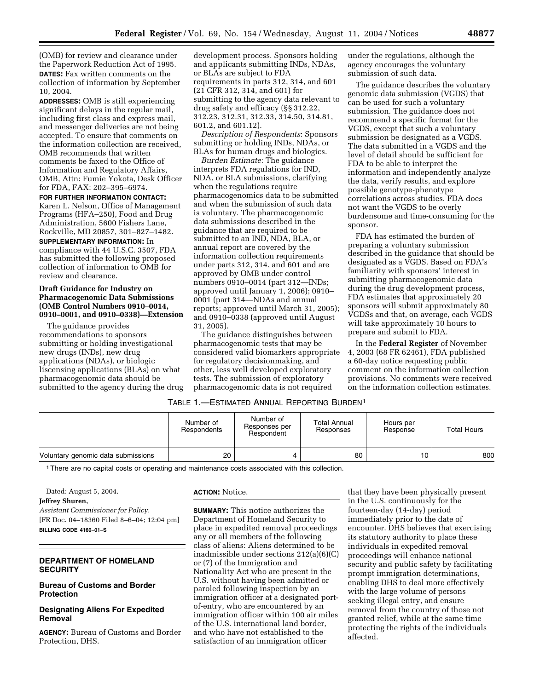(OMB) for review and clearance under the Paperwork Reduction Act of 1995. **DATES:** Fax written comments on the collection of information by September 10, 2004.

**ADDRESSES:** OMB is still experiencing significant delays in the regular mail, including first class and express mail, and messenger deliveries are not being accepted. To ensure that comments on the information collection are received, OMB recommends that written comments be faxed to the Office of Information and Regulatory Affairs, OMB, Attn: Fumie Yokota, Desk Officer for FDA, FAX: 202–395–6974.

**FOR FURTHER INFORMATION CONTACT:** Karen L. Nelson, Office of Management Programs (HFA–250), Food and Drug

Administration, 5600 Fishers Lane, Rockville, MD 20857, 301–827–1482.

# **SUPPLEMENTARY INFORMATION:** In

compliance with 44 U.S.C. 3507, FDA has submitted the following proposed collection of information to OMB for review and clearance.

## **Draft Guidance for Industry on Pharmacogenomic Data Submissions (OMB Control Numbers 0910–0014, 0910–0001, and 0910–0338)—Extension**

The guidance provides recommendations to sponsors submitting or holding investigational new drugs (INDs), new drug applications (NDAs), or biologic liscensing applications (BLAs) on what pharmacogenomic data should be submitted to the agency during the drug

development process. Sponsors holding and applicants submitting INDs, NDAs, or BLAs are subject to FDA requirements in parts 312, 314, and 601 (21 CFR 312, 314, and 601) for submitting to the agency data relevant to drug safety and efficacy (§§ 312.22, 312.23, 312.31, 312.33, 314.50, 314.81, 601.2, and 601.12).

*Description of Respondents*: Sponsors submitting or holding INDs, NDAs, or BLAs for human drugs and biologics.

*Burden Estimate*: The guidance interprets FDA regulations for IND, NDA, or BLA submissions, clarifying when the regulations require pharmacogenomics data to be submitted and when the submission of such data is voluntary. The pharmacogenomic data submissions described in the guidance that are required to be submitted to an IND, NDA, BLA, or annual report are covered by the information collection requirements under parts 312, 314, and 601 and are approved by OMB under control numbers 0910–0014 (part 312—INDs; approved until January 1, 2006); 0910– 0001 (part 314—NDAs and annual reports; approved until March 31, 2005); and 0910–0338 (approved until August 31, 2005).

The guidance distinguishes between pharmacogenomic tests that may be considered valid biomarkers appropriate for regulatory decisionmaking, and other, less well developed exploratory tests. The submission of exploratory pharmacogenomic data is not required

under the regulations, although the agency encourages the voluntary submission of such data.

The guidance describes the voluntary genomic data submission (VGDS) that can be used for such a voluntary submission. The guidance does not recommend a specific format for the VGDS, except that such a voluntary submission be designated as a VGDS. The data submitted in a VGDS and the level of detail should be sufficient for FDA to be able to interpret the information and independently analyze the data, verify results, and explore possible genotype-phenotype correlations across studies. FDA does not want the VGDS to be overly burdensome and time-consuming for the sponsor.

FDA has estimated the burden of preparing a voluntary submission described in the guidance that should be designated as a VGDS. Based on FDA's familiarity with sponsors' interest in submitting pharmacogenomic data during the drug development process, FDA estimates that approximately 20 sponsors will submit approximately 80 VGDSs and that, on average, each VGDS will take approximately 10 hours to prepare and submit to FDA.

In the **Federal Register** of November 4, 2003 (68 FR 62461), FDA published a 60-day notice requesting public comment on the information collection provisions. No comments were received on the information collection estimates.

# TABLE 1.—ESTIMATED ANNUAL REPORTING BURDEN1

|                                    | Number of<br>Respondents | Number of<br>Responses per<br>Respondent | Total Annual<br>Responses | Hours per<br>Response | <b>Total Hours</b> |
|------------------------------------|--------------------------|------------------------------------------|---------------------------|-----------------------|--------------------|
| Voluntary genomic data submissions | 20                       | 4                                        | 80                        | 10                    | 800                |

<sup>1</sup> There are no capital costs or operating and maintenance costs associated with this collection.

Dated: August 5, 2004.

**Jeffrey Shuren,**

*Assistant Commissioner for Policy.* [FR Doc. 04–18360 Filed 8–6–04; 12:04 pm] **BILLING CODE 4160–01–S**

# **DEPARTMENT OF HOMELAND SECURITY**

# **Bureau of Customs and Border Protection**

# **Designating Aliens For Expedited Removal**

**AGENCY:** Bureau of Customs and Border Protection, DHS.

#### **ACTION:** Notice.

**SUMMARY:** This notice authorizes the Department of Homeland Security to place in expedited removal proceedings any or all members of the following class of aliens: Aliens determined to be inadmissible under sections 212(a)(6)(C) or (7) of the Immigration and Nationality Act who are present in the U.S. without having been admitted or paroled following inspection by an immigration officer at a designated portof-entry, who are encountered by an immigration officer within 100 air miles of the U.S. international land border, and who have not established to the satisfaction of an immigration officer

that they have been physically present in the U.S. continuously for the fourteen-day (14-day) period immediately prior to the date of encounter. DHS believes that exercising its statutory authority to place these individuals in expedited removal proceedings will enhance national security and public safety by facilitating prompt immigration determinations, enabling DHS to deal more effectively with the large volume of persons seeking illegal entry, and ensure removal from the country of those not granted relief, while at the same time protecting the rights of the individuals affected.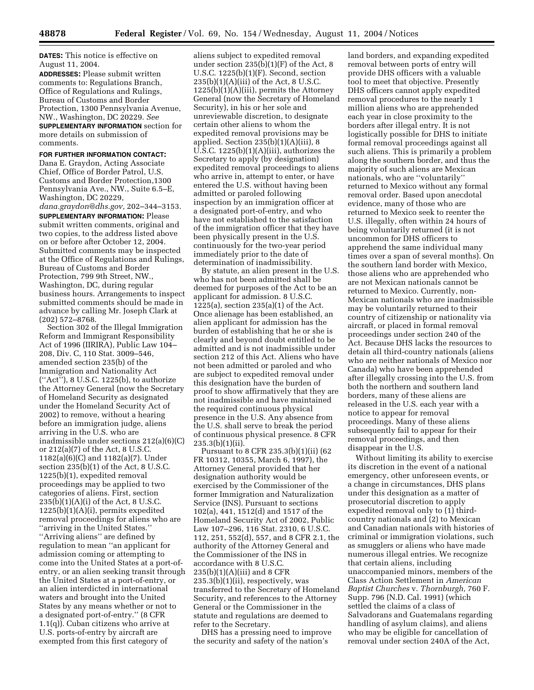**DATES:** This notice is effective on August 11, 2004.

**ADDRESSES:** Please submit written comments to: Regulations Branch, Office of Regulations and Rulings, Bureau of Customs and Border Protection, 1300 Pennsylvania Avenue, NW., Washington, DC 20229. *See* **SUPPLEMENTARY INFORMATION** section for more details on submission of comments.

#### **FOR FURTHER INFORMATION CONTACT:**

Dana E. Graydon, Acting Associate Chief, Office of Border Patrol, U.S. Customs and Border Protection,1300 Pennsylvania Ave., NW., Suite 6.5–E, Washington, DC 20229,

*dana.graydon@dhs.gov,* 202–344–3153.

**SUPPLEMENTARY INFORMATION:** Please submit written comments, original and two copies, to the address listed above on or before after October 12, 2004. Submitted comments may be inspected at the Office of Regulations and Rulings, Bureau of Customs and Border Protection, 799 9th Street, NW., Washington, DC, during regular business hours. Arrangements to inspect submitted comments should be made in advance by calling Mr. Joseph Clark at (202) 572–8768.

Section 302 of the Illegal Immigration Reform and Immigrant Responsibility Act of 1996 (IIRIRA), Public Law 104– 208, Div. C, 110 Stat. 3009–546, amended section 235(b) of the Immigration and Nationality Act (''Act''), 8 U.S.C. 1225(b), to authorize the Attorney General (now the Secretary of Homeland Security as designated under the Homeland Security Act of 2002) to remove, without a hearing before an immigration judge, aliens arriving in the U.S. who are inadmissible under sections 212(a)(6)(C) or 212(a)(7) of the Act, 8 U.S.C. 1182(a)(6)(C) and 1182(a)(7). Under section 235(b)(1) of the Act, 8 U.S.C. 1225(b)(1), expedited removal proceedings may be applied to two categories of aliens. First, section  $235(b)(1)(A)(i)$  of the Act, 8 U.S.C. 1225(b)(1)(A)(i), permits expedited removal proceedings for aliens who are ''arriving in the United States.'' ''Arriving aliens'' are defined by regulation to mean ''an applicant for admission coming or attempting to come into the United States at a port-ofentry, or an alien seeking transit through the United States at a port-of-entry, or an alien interdicted in international waters and brought into the United States by any means whether or not to a designated port-of-entry.'' (8 CFR 1.1(q)). Cuban citizens who arrive at U.S. ports-of-entry by aircraft are exempted from this first category of

aliens subject to expedited removal under section 235(b)(1)(F) of the Act, 8 U.S.C. 1225(b)(1)(F). Second, section  $235(b)(1)(A)(iii)$  of the Act, 8 U.S.C.  $1225(b)(1)(A)(iii)$ , permits the Attorney General (now the Secretary of Homeland Security), in his or her sole and unreviewable discretion, to designate certain other aliens to whom the expedited removal provisions may be applied. Section 235(b)(1)(A)(iii), 8 U.S.C. 1225(b)(1)(A)(iii), authorizes the Secretary to apply (by designation) expedited removal proceedings to aliens who arrive in, attempt to enter, or have entered the U.S. without having been admitted or paroled following inspection by an immigration officer at a designated port-of-entry, and who have not established to the satisfaction of the immigration officer that they have been physically present in the U.S. continuously for the two-year period immediately prior to the date of determination of inadmissibility.

By statute, an alien present in the U.S. who has not been admitted shall be deemed for purposes of the Act to be an applicant for admission. 8 U.S.C. 1225(a), section 235(a)(1) of the Act. Once alienage has been established, an alien applicant for admission has the burden of establishing that he or she is clearly and beyond doubt entitled to be admitted and is not inadmissible under section 212 of this Act. Aliens who have not been admitted or paroled and who are subject to expedited removal under this designation have the burden of proof to show affirmatively that they are not inadmissible and have maintained the required continuous physical presence in the U.S. Any absence from the U.S. shall serve to break the period of continuous physical presence. 8 CFR  $235.3(b)(1)(ii)$ .

Pursuant to 8 CFR 235.3(b)(1)(ii) (62 FR 10312, 10355, March 6, 1997), the Attorney General provided that her designation authority would be exercised by the Commissioner of the former Immigration and Naturalization Service (INS). Pursuant to sections 102(a), 441, 1512(d) and 1517 of the Homeland Security Act of 2002, Public Law 107–296, 116 Stat. 2310, 6 U.S.C. 112, 251, 552(d), 557, and 8 CFR 2.1, the authority of the Attorney General and the Commissioner of the INS in accordance with 8 U.S.C.  $235(b)(1)(A)(iii)$  and 8 CFR 235.3(b)(1)(ii), respectively, was transferred to the Secretary of Homeland Security, and references to the Attorney General or the Commissioner in the statute and regulations are deemed to refer to the Secretary.

DHS has a pressing need to improve the security and safety of the nation's

land borders, and expanding expedited removal between ports of entry will provide DHS officers with a valuable tool to meet that objective. Presently DHS officers cannot apply expedited removal procedures to the nearly 1 million aliens who are apprehended each year in close proximity to the borders after illegal entry. It is not logistically possible for DHS to initiate formal removal proceedings against all such aliens. This is primarily a problem along the southern border, and thus the majority of such aliens are Mexican nationals, who are ''voluntarily'' returned to Mexico without any formal removal order. Based upon anecdotal evidence, many of those who are returned to Mexico seek to reenter the U.S. illegally, often within 24 hours of being voluntarily returned (it is not uncommon for DHS officers to apprehend the same individual many times over a span of several months). On the southern land border with Mexico, those aliens who are apprehended who are not Mexican nationals cannot be returned to Mexico. Currently, non-Mexican nationals who are inadmissible may be voluntarily returned to their country of citizenship or nationality via aircraft, or placed in formal removal proceedings under section 240 of the Act. Because DHS lacks the resources to detain all third-country nationals (aliens who are neither nationals of Mexico nor Canada) who have been apprehended after illegally crossing into the U.S. from both the northern and southern land borders, many of these aliens are released in the U.S. each year with a notice to appear for removal proceedings. Many of these aliens subsequently fail to appear for their removal proceedings, and then disappear in the U.S.

Without limiting its ability to exercise its discretion in the event of a national emergency, other unforeseen events, or a change in circumstances, DHS plans under this designation as a matter of prosecutorial discretion to apply expedited removal only to (1) thirdcountry nationals and (2) to Mexican and Canadian nationals with histories of criminal or immigration violations, such as smugglers or aliens who have made numerous illegal entries. We recognize that certain aliens, including unaccompanied minors, members of the Class Action Settlement in *American Baptist Churches* v. *Thornburgh,* 760 F. Supp. 796 (N.D. Cal. 1991) (which settled the claims of a class of Salvadorans and Guatemalans regarding handling of asylum claims), and aliens who may be eligible for cancellation of removal under section 240A of the Act,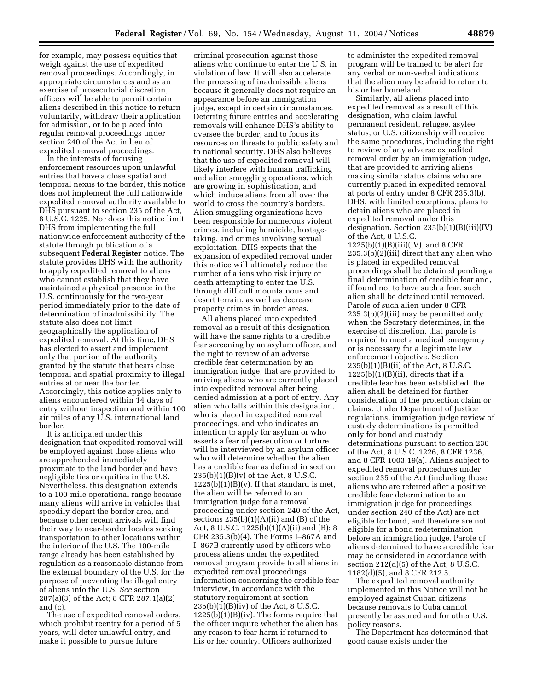for example, may possess equities that weigh against the use of expedited removal proceedings. Accordingly, in appropriate circumstances and as an exercise of prosecutorial discretion, officers will be able to permit certain aliens described in this notice to return voluntarily, withdraw their application for admission, or to be placed into regular removal proceedings under section 240 of the Act in lieu of expedited removal proceedings.

In the interests of focusing enforcement resources upon unlawful entries that have a close spatial and temporal nexus to the border, this notice does not implement the full nationwide expedited removal authority available to DHS pursuant to section 235 of the Act, 8 U.S.C. 1225. Nor does this notice limit DHS from implementing the full nationwide enforcement authority of the statute through publication of a subsequent **Federal Register** notice. The statute provides DHS with the authority to apply expedited removal to aliens who cannot establish that they have maintained a physical presence in the U.S. continuously for the two-year period immediately prior to the date of determination of inadmissibility. The statute also does not limit geographically the application of expedited removal. At this time, DHS has elected to assert and implement only that portion of the authority granted by the statute that bears close temporal and spatial proximity to illegal entries at or near the border. Accordingly, this notice applies only to aliens encountered within 14 days of entry without inspection and within 100 air miles of any U.S. international land border.

It is anticipated under this designation that expedited removal will be employed against those aliens who are apprehended immediately proximate to the land border and have negligible ties or equities in the U.S. Nevertheless, this designation extends to a 100-mile operational range because many aliens will arrive in vehicles that speedily depart the border area, and because other recent arrivals will find their way to near-border locales seeking transportation to other locations within the interior of the U.S. The 100-mile range already has been established by regulation as a reasonable distance from the external boundary of the U.S. for the purpose of preventing the illegal entry of aliens into the U.S. *See* section 287(a)(3) of the Act; 8 CFR 287.1(a)(2) and (c).

The use of expedited removal orders, which prohibit reentry for a period of 5 years, will deter unlawful entry, and make it possible to pursue future

criminal prosecution against those aliens who continue to enter the U.S. in violation of law. It will also accelerate the processing of inadmissible aliens because it generally does not require an appearance before an immigration judge, except in certain circumstances. Deterring future entries and accelerating removals will enhance DHS's ability to oversee the border, and to focus its resources on threats to public safety and to national security. DHS also believes that the use of expedited removal will likely interfere with human trafficking and alien smuggling operations, which are growing in sophistication, and which induce aliens from all over the world to cross the country's borders. Alien smuggling organizations have been responsible for numerous violent crimes, including homicide, hostagetaking, and crimes involving sexual exploitation. DHS expects that the expansion of expedited removal under this notice will ultimately reduce the number of aliens who risk injury or death attempting to enter the U.S. through difficult mountainous and desert terrain, as well as decrease property crimes in border areas.

All aliens placed into expedited removal as a result of this designation will have the same rights to a credible fear screening by an asylum officer, and the right to review of an adverse credible fear determination by an immigration judge, that are provided to arriving aliens who are currently placed into expedited removal after being denied admission at a port of entry. Any alien who falls within this designation, who is placed in expedited removal proceedings, and who indicates an intention to apply for asylum or who asserts a fear of persecution or torture will be interviewed by an asylum officer who will determine whether the alien has a credible fear as defined in section  $235(b)(1)(B)(v)$  of the Act, 8 U.S.C.  $1225(b)(1)(B)(v)$ . If that standard is met, the alien will be referred to an immigration judge for a removal proceeding under section 240 of the Act, sections  $235(b)(1)(A)(ii)$  and  $(B)$  of the Act, 8 U.S.C. 1225(b)(1)(A)(ii) and (B); 8 CFR 235.3(b)(4). The Forms I–867A and I–867B currently used by officers who process aliens under the expedited removal program provide to all aliens in expedited removal proceedings information concerning the credible fear interview, in accordance with the statutory requirement at section  $235(b)(1)(B)(iv)$  of the Act, 8 U.S.C.  $1225(b)(1)(B)(iv)$ . The forms require that the officer inquire whether the alien has any reason to fear harm if returned to his or her country. Officers authorized

to administer the expedited removal program will be trained to be alert for any verbal or non-verbal indications that the alien may be afraid to return to his or her homeland.

Similarly, all aliens placed into expedited removal as a result of this designation, who claim lawful permanent resident, refugee, asylee status, or U.S. citizenship will receive the same procedures, including the right to review of any adverse expedited removal order by an immigration judge, that are provided to arriving aliens making similar status claims who are currently placed in expedited removal at ports of entry under 8 CFR 235.3(b). DHS, with limited exceptions, plans to detain aliens who are placed in expedited removal under this designation. Section 235(b)(1)(B)(iii)(IV) of the Act, 8 U.S.C.  $1225(b)(1)(B)(iii)(IV)$ , and 8 CFR 235.3(b)(2)(iii) direct that any alien who is placed in expedited removal proceedings shall be detained pending a final determination of credible fear and, if found not to have such a fear, such alien shall be detained until removed. Parole of such alien under 8 CFR 235.3(b)(2)(iii) may be permitted only when the Secretary determines, in the exercise of discretion, that parole is required to meet a medical emergency or is necessary for a legitimate law enforcement objective. Section 235(b)(1)(B)(ii) of the Act, 8 U.S.C.  $1225(b)(1)(B)(ii)$ , directs that if a credible fear has been established, the alien shall be detained for further consideration of the protection claim or claims. Under Department of Justice regulations, immigration judge review of custody determinations is permitted only for bond and custody determinations pursuant to section 236 of the Act, 8 U.S.C. 1226, 8 CFR 1236, and 8 CFR 1003.19(a). Aliens subject to expedited removal procedures under section 235 of the Act (including those aliens who are referred after a positive credible fear determination to an immigration judge for proceedings under section 240 of the Act) are not eligible for bond, and therefore are not eligible for a bond redetermination before an immigration judge. Parole of aliens determined to have a credible fear may be considered in accordance with section 212(d)(5) of the Act, 8 U.S.C. 1182(d)(5), and 8 CFR 212.5.

The expedited removal authority implemented in this Notice will not be employed against Cuban citizens because removals to Cuba cannot presently be assured and for other U.S. policy reasons.

The Department has determined that good cause exists under the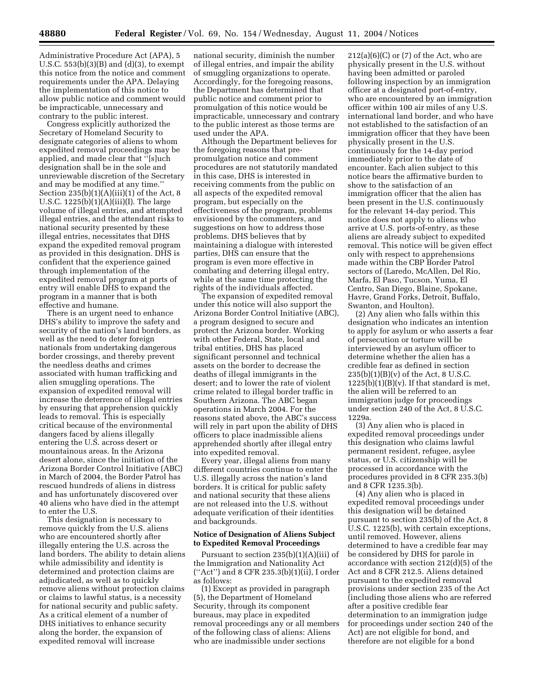Administrative Procedure Act (APA), 5 U.S.C. 553(b)(3)(B) and (d)(3), to exempt this notice from the notice and comment requirements under the APA. Delaying the implementation of this notice to allow public notice and comment would be impracticable, unnecessary and contrary to the public interest.

Congress explicitly authorized the Secretary of Homeland Security to designate categories of aliens to whom expedited removal proceedings may be applied, and made clear that ''[s]uch designation shall be in the sole and unreviewable discretion of the Secretary and may be modified at any time.'' Section  $235(b)(1)(A)(iii)(1)$  of the Act, 8 U.S.C. 1225(b)(1)(A)(iii)(I). The large volume of illegal entries, and attempted illegal entries, and the attendant risks to national security presented by these illegal entries, necessitates that DHS expand the expedited removal program as provided in this designation. DHS is confident that the experience gained through implementation of the expedited removal program at ports of entry will enable DHS to expand the program in a manner that is both effective and humane.

There is an urgent need to enhance DHS's ability to improve the safety and security of the nation's land borders, as well as the need to deter foreign nationals from undertaking dangerous border crossings, and thereby prevent the needless deaths and crimes associated with human trafficking and alien smuggling operations. The expansion of expedited removal will increase the deterrence of illegal entries by ensuring that apprehension quickly leads to removal. This is especially critical because of the environmental dangers faced by aliens illegally entering the U.S. across desert or mountainous areas. In the Arizona desert alone, since the initiation of the Arizona Border Control Initiative (ABC) in March of 2004, the Border Patrol has rescued hundreds of aliens in distress and has unfortunately discovered over 40 aliens who have died in the attempt to enter the U.S.

This designation is necessary to remove quickly from the U.S. aliens who are encountered shortly after illegally entering the U.S. across the land borders. The ability to detain aliens while admissibility and identity is determined and protection claims are adjudicated, as well as to quickly remove aliens without protection claims or claims to lawful status, is a necessity for national security and public safety. As a critical element of a number of DHS initiatives to enhance security along the border, the expansion of expedited removal will increase

national security, diminish the number of illegal entries, and impair the ability of smuggling organizations to operate. Accordingly, for the foregoing reasons, the Department has determined that public notice and comment prior to promulgation of this notice would be impracticable, unnecessary and contrary to the public interest as those terms are used under the APA.

Although the Department believes for the foregoing reasons that prepromulgation notice and comment procedures are not statutorily mandated in this case, DHS is interested in receiving comments from the public on all aspects of the expedited removal program, but especially on the effectiveness of the program, problems envisioned by the commenters, and suggestions on how to address those problems. DHS believes that by maintaining a dialogue with interested parties, DHS can ensure that the program is even more effective in combating and deterring illegal entry, while at the same time protecting the rights of the individuals affected.

The expansion of expedited removal under this notice will also support the Arizona Border Control Initiative (ABC), a program designed to secure and protect the Arizona border. Working with other Federal, State, local and tribal entities, DHS has placed significant personnel and technical assets on the border to decrease the deaths of illegal immigrants in the desert; and to lower the rate of violent crime related to illegal border traffic in Southern Arizona. The ABC began operations in March 2004. For the reasons stated above, the ABC's success will rely in part upon the ability of DHS officers to place inadmissible aliens apprehended shortly after illegal entry into expedited removal.

Every year, illegal aliens from many different countries continue to enter the U.S. illegally across the nation's land borders. It is critical for public safety and national security that these aliens are not released into the U.S. without adequate verification of their identities and backgrounds.

### **Notice of Designation of Aliens Subject to Expedited Removal Proceedings**

Pursuant to section 235(b)(1)(A)(iii) of the Immigration and Nationality Act (''Act'') and 8 CFR 235.3(b)(1)(ii), I order as follows:

(1) Except as provided in paragraph (5), the Department of Homeland Security, through its component bureaus, may place in expedited removal proceedings any or all members of the following class of aliens: Aliens who are inadmissible under sections

 $212(a)(6)(C)$  or  $(7)$  of the Act, who are physically present in the U.S. without having been admitted or paroled following inspection by an immigration officer at a designated port-of-entry, who are encountered by an immigration officer within 100 air miles of any U.S. international land border, and who have not established to the satisfaction of an immigration officer that they have been physically present in the U.S. continuously for the 14-day period immediately prior to the date of encounter. Each alien subject to this notice bears the affirmative burden to show to the satisfaction of an immigration officer that the alien has been present in the U.S. continuously for the relevant 14-day period. This notice does not apply to aliens who arrive at U.S. ports-of-entry, as these aliens are already subject to expedited removal. This notice will be given effect only with respect to apprehensions made within the CBP Border Patrol sectors of (Laredo, McAllen, Del Rio, Marfa, El Paso, Tucson, Yuma, El Centro, San Diego, Blaine, Spokane, Havre, Grand Forks, Detroit, Buffalo, Swanton, and Houlton).

(2) Any alien who falls within this designation who indicates an intention to apply for asylum or who asserts a fear of persecution or torture will be interviewed by an asylum officer to determine whether the alien has a credible fear as defined in section  $235(b)(1)(B)(v)$  of the Act, 8 U.S.C.  $1225(b)(1)(B)(v)$ . If that standard is met, the alien will be referred to an immigration judge for proceedings under section 240 of the Act, 8 U.S.C. 1229a.

(3) Any alien who is placed in expedited removal proceedings under this designation who claims lawful permanent resident, refugee, asylee status, or U.S. citizenship will be processed in accordance with the procedures provided in 8 CFR 235.3(b) and 8 CFR 1235.3(b).

(4) Any alien who is placed in expedited removal proceedings under this designation will be detained pursuant to section 235(b) of the Act, 8 U.S.C. 1225(b), with certain exceptions, until removed. However, aliens determined to have a credible fear may be considered by DHS for parole in accordance with section 212(d)(5) of the Act and 8 CFR 212.5. Aliens detained pursuant to the expedited removal provisions under section 235 of the Act (including those aliens who are referred after a positive credible fear determination to an immigration judge for proceedings under section 240 of the Act) are not eligible for bond, and therefore are not eligible for a bond